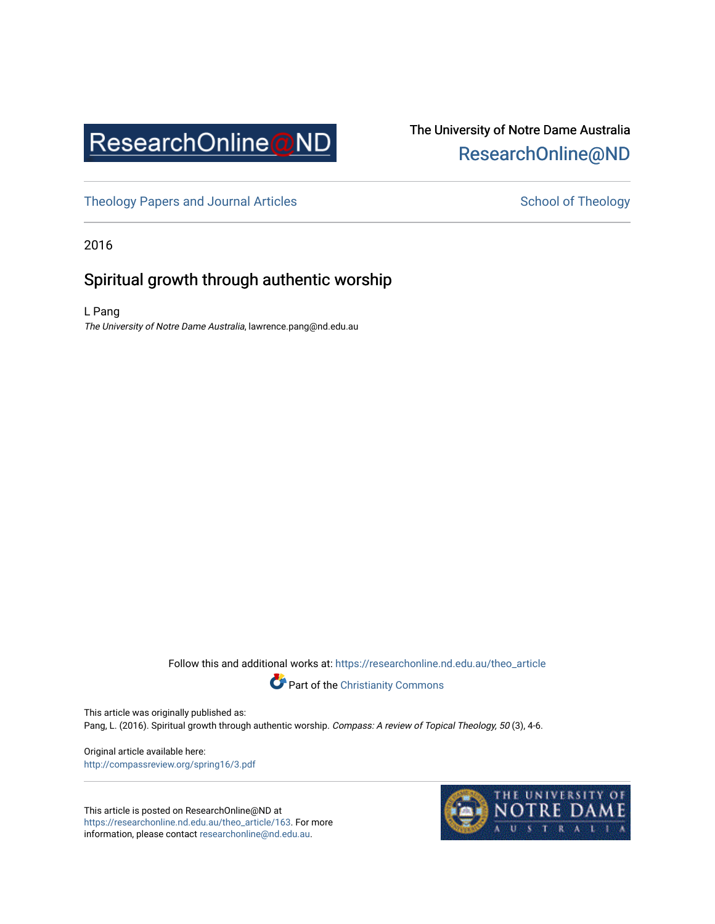

## The University of Notre Dame Australia [ResearchOnline@ND](https://researchonline.nd.edu.au/)

[Theology Papers and Journal Articles](https://researchonline.nd.edu.au/theo_article) and [School of Theology](https://researchonline.nd.edu.au/theo) School of Theology

2016

### Spiritual growth through authentic worship

L Pang The University of Notre Dame Australia, lawrence.pang@nd.edu.au

Follow this and additional works at: [https://researchonline.nd.edu.au/theo\\_article](https://researchonline.nd.edu.au/theo_article?utm_source=researchonline.nd.edu.au%2Ftheo_article%2F163&utm_medium=PDF&utm_campaign=PDFCoverPages) 



This article was originally published as:

Pang, L. (2016). Spiritual growth through authentic worship. Compass: A review of Topical Theology, 50 (3), 4-6.

Original article available here: <http://compassreview.org/spring16/3.pdf>

This article is posted on ResearchOnline@ND at [https://researchonline.nd.edu.au/theo\\_article/163](https://researchonline.nd.edu.au/theo_article/163). For more information, please contact [researchonline@nd.edu.au.](mailto:researchonline@nd.edu.au)

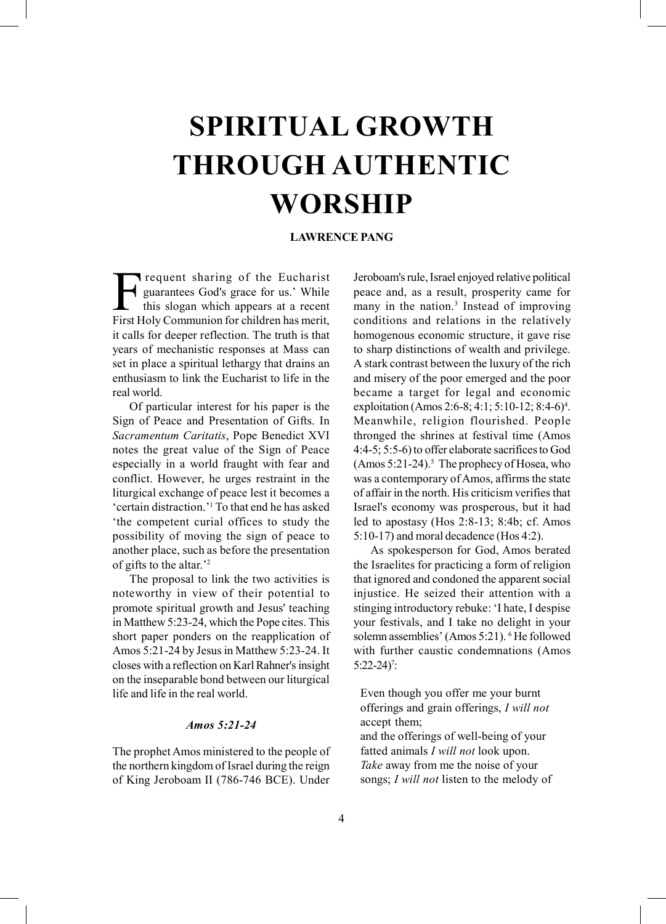# SPIRITUAL GROWTH THROUGH AUTHENTIC WORSHIP

#### LAWRENCE PANG

Frequent sharing of the Eucharist<br>guarantees God's grace for us.' While<br>this slogan which appears at a recent<br>First Holy Communion for children has merit guarantees God's grace for us.' While this slogan which appears at a recent First Holy Communion for children has merit, it calls for deeper reflection. The truth is that years of mechanistic responses at Mass can set in place a spiritual lethargy that drains an enthusiasm to link the Eucharist to life in the real world.

Of particular interest for his paper is the Sign of Peace and Presentation of Gifts. In Sacramentum Caritatis, Pope Benedict XVI notes the great value of the Sign of Peace especially in a world fraught with fear and conflict. However, he urges restraint in the liturgical exchange of peace lest it becomes a 'certain distraction.'1 To that end he has asked 'the competent curial offices to study the possibility of moving the sign of peace to another place, such as before the presentation of gifts to the altar.'2

The proposal to link the two activities is noteworthy in view of their potential to promote spiritual growth and Jesus' teaching in Matthew 5:23-24, which the Pope cites. This short paper ponders on the reapplication of Amos 5:21-24 by Jesus in Matthew 5:23-24. It closes with a reflection on Karl Rahner's insight on the inseparable bond between our liturgical life and life in the real world.

#### Amos 5:21-24

The prophet Amos ministered to the people of the northern kingdom of Israel during the reign of King Jeroboam II (786-746 BCE). Under Jeroboam's rule, Israel enjoyed relative political peace and, as a result, prosperity came for many in the nation.<sup>3</sup> Instead of improving conditions and relations in the relatively homogenous economic structure, it gave rise to sharp distinctions of wealth and privilege. A stark contrast between the luxury of the rich and misery of the poor emerged and the poor became a target for legal and economic exploitation (Amos 2:6-8; 4:1; 5:10-12; 8:4-6)<sup>4</sup>. Meanwhile, religion flourished. People thronged the shrines at festival time (Amos 4:4-5; 5:5-6) to offer elaborate sacrifices to God (Amos 5:21-24).<sup>5</sup> The prophecy of Hosea, who was a contemporary of Amos, affirms the state of affair in the north. His criticism verifies that Israel's economy was prosperous, but it had led to apostasy (Hos 2:8-13; 8:4b; cf. Amos 5:10-17) and moral decadence (Hos 4:2).

As spokesperson for God, Amos berated the Israelites for practicing a form of religion that ignored and condoned the apparent social injustice. He seized their attention with a stinging introductory rebuke: 'I hate, I despise your festivals, and I take no delight in your solemn assemblies' (Amos 5:21). <sup>6</sup>He followed with further caustic condemnations (Amos  $5:22-24$ <sup>7</sup>:

Even though you offer me your burnt offerings and grain offerings, I will not accept them;

and the offerings of well-being of your fatted animals I will not look upon. Take away from me the noise of your songs; *I will not* listen to the melody of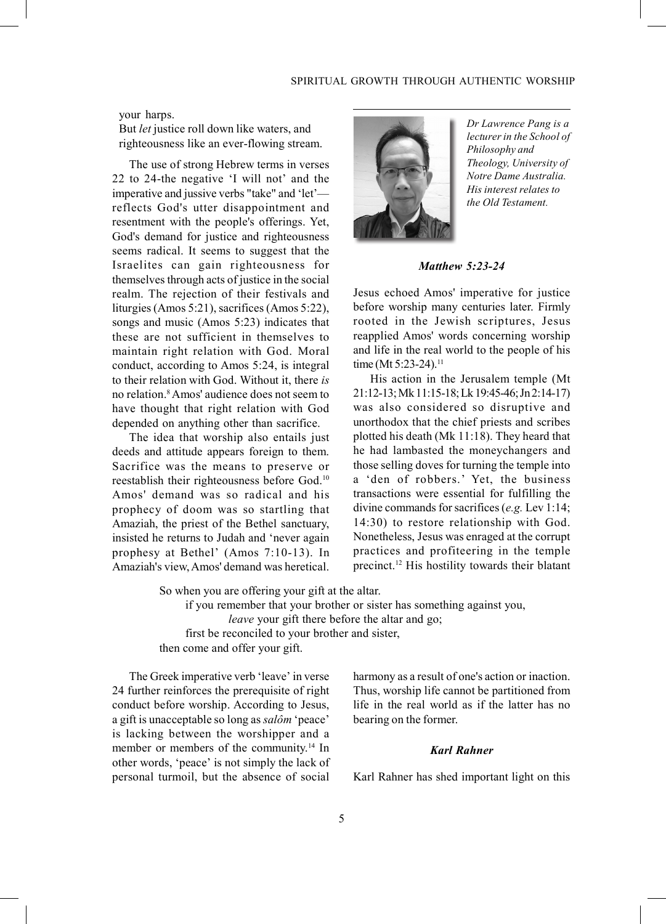#### your harps.

But *let* justice roll down like waters, and righteousness like an ever-flowing stream.

The use of strong Hebrew terms in verses 22 to 24-the negative 'I will not' and the imperative and jussive verbs "take" and 'let' reflects God's utter disappointment and resentment with the people's offerings. Yet, God's demand for justice and righteousness seems radical. It seems to suggest that the Israelites can gain righteousness for themselves through acts of justice in the social realm. The rejection of their festivals and liturgies (Amos 5:21), sacrifices (Amos 5:22), songs and music (Amos 5:23) indicates that these are not sufficient in themselves to maintain right relation with God. Moral conduct, according to Amos 5:24, is integral to their relation with God. Without it, there is no relation.8 Amos' audience does not seem to have thought that right relation with God depended on anything other than sacrifice.

The idea that worship also entails just deeds and attitude appears foreign to them. Sacrifice was the means to preserve or reestablish their righteousness before God.10 Amos' demand was so radical and his prophecy of doom was so startling that Amaziah, the priest of the Bethel sanctuary, insisted he returns to Judah and 'never again prophesy at Bethel' (Amos 7:10-13). In Amaziah's view, Amos' demand was heretical.



Dr Lawrence Pang is a lecturer in the School of Philosophy and Theology, University of Notre Dame Australia. His interest relates to the Old Testament.

Matthew 5:23-24

Jesus echoed Amos' imperative for justice before worship many centuries later. Firmly rooted in the Jewish scriptures, Jesus reapplied Amos' words concerning worship and life in the real world to the people of his time (Mt  $5:23-24$ ).<sup>11</sup>

His action in the Jerusalem temple (Mt 21:12-13; Mk 11:15-18; Lk 19:45-46; Jn 2:14-17) was also considered so disruptive and unorthodox that the chief priests and scribes plotted his death (Mk 11:18). They heard that he had lambasted the moneychangers and those selling doves for turning the temple into a 'den of robbers.' Yet, the business transactions were essential for fulfilling the divine commands for sacrifices (e.g. Lev 1:14; 14:30) to restore relationship with God. Nonetheless, Jesus was enraged at the corrupt practices and profiteering in the temple precinct.12 His hostility towards their blatant

So when you are offering your gift at the altar. if you remember that your brother or sister has something against you, leave your gift there before the altar and go; first be reconciled to your brother and sister, then come and offer your gift.

The Greek imperative verb 'leave' in verse 24 further reinforces the prerequisite of right conduct before worship. According to Jesus, a gift is unacceptable so long as salôm 'peace' is lacking between the worshipper and a member or members of the community.14 In other words, 'peace' is not simply the lack of personal turmoil, but the absence of social harmony as a result of one's action or inaction. Thus, worship life cannot be partitioned from life in the real world as if the latter has no bearing on the former.

#### Karl Rahner

Karl Rahner has shed important light on this